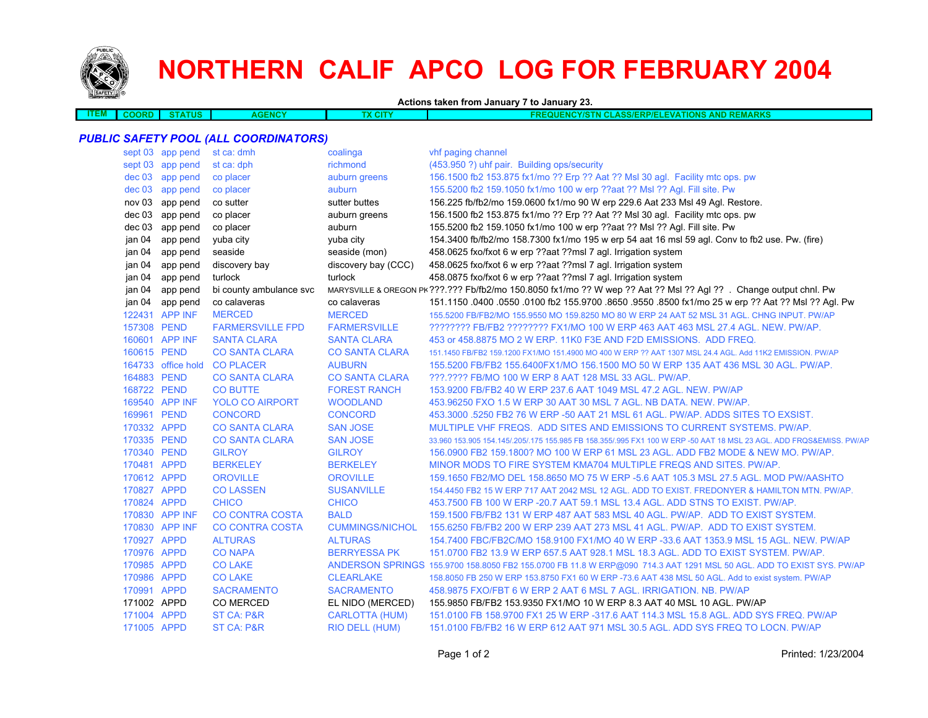

## **NORTHERN CALIF APCO LOG FOR FEBRUARY 2004**

**Actions taken from January 7 to January 23.**

| EM. | <b>COORD</b> | wa | <b>AGENCY</b> | х сіт | ALL C<br><b>AND</b><br>ווכ<br>---<br>$^{\prime\prime}$<br>FRI<br><b>CLASS/FT</b><br><b>RP/EI</b><br><b>LEVATIONS</b><br>1ARNS<br>a mar<br>7511 |
|-----|--------------|----|---------------|-------|------------------------------------------------------------------------------------------------------------------------------------------------|
|     |              |    |               |       |                                                                                                                                                |

## *PUBLIC SAFETY POOL (ALL COORDINATORS)*

|             | sept 03 app pend   | st ca: dmh              | coalinga               | vhf paging channel                                                                                                   |
|-------------|--------------------|-------------------------|------------------------|----------------------------------------------------------------------------------------------------------------------|
|             | sept 03 app pend   | st ca: dph              | richmond               | (453.950 ?) uhf pair. Building ops/security                                                                          |
|             | dec 03 app pend    | co placer               | auburn greens          | 156.1500 fb2 153.875 fx1/mo ?? Erp ?? Aat ?? Msl 30 agl. Facility mtc ops. pw                                        |
| dec 03      | app pend           | co placer               | auburn                 | 155.5200 fb2 159.1050 fx1/mo 100 w erp ??aat ?? MsI ?? AgI. Fill site. Pw                                            |
| nov 03      | app pend           | co sutter               | sutter buttes          | 156.225 fb/fb2/mo 159.0600 fx1/mo 90 W erp 229.6 Aat 233 Msl 49 Agl. Restore.                                        |
| dec 03      | app pend           | co placer               | auburn greens          | 156.1500 fb2 153.875 fx1/mo ?? Erp ?? Aat ?? Msl 30 agl. Facility mtc ops. pw                                        |
| dec 03      | app pend           | co placer               | auburn                 | 155.5200 fb2 159.1050 fx1/mo 100 w erp ??aat ?? Msl ?? Agl. Fill site. Pw                                            |
| jan 04      | app pend           | yuba city               | yuba city              | 154.3400 fb/fb2/mo 158.7300 fx1/mo 195 w erp 54 aat 16 msl 59 agl. Conv to fb2 use. Pw. (fire)                       |
| jan 04      | app pend           | seaside                 | seaside (mon)          | 458.0625 fxo/fxot 6 w erp ??aat ??msl 7 agl. Irrigation system                                                       |
| jan 04      | app pend           | discovery bay           | discovery bay (CCC)    | 458.0625 fxo/fxot 6 w erp ??aat ??msl 7 agl. Irrigation system                                                       |
| jan 04      | app pend           | turlock                 | turlock                | 458.0875 fxo/fxot 6 w erp ??aat ??msl 7 agl. Irrigation system                                                       |
| jan 04      | app pend           | bi county ambulance svc |                        | MARYSVILLE & OREGON PK ???.??? Fb/fb2/mo 150.8050 fx1/mo ?? W wep ?? Aat ?? Msl ?? Agl ??. Change output chnl. Pw    |
| jan 04      | app pend           | co calaveras            | co calaveras           | 151.1150 0400 0550 0100 fb2 155.9700 8650 9550 8500 fx1/mo 25 w erp ?? Aat ?? Msl ?? Agl. Pw                         |
|             | 122431 APP INF     | <b>MERCED</b>           | <b>MERCED</b>          | 155.5200 FB/FB2/MO 155.9550 MO 159.8250 MO 80 W ERP 24 AAT 52 MSL 31 AGL. CHNG INPUT. PW/AP                          |
| 157308 PEND |                    | <b>FARMERSVILLE FPD</b> | <b>FARMERSVILLE</b>    | ???????? FB/FB2 ??????? FX1/MO 100 W ERP 463 AAT 463 MSL 27.4 AGL. NEW. PW/AP.                                       |
|             | 160601 APP INF     | <b>SANTA CLARA</b>      | <b>SANTA CLARA</b>     | 453 or 458,8875 MO 2 W ERP, 11K0 F3E AND F2D EMISSIONS. ADD FREQ.                                                    |
| 160615 PEND |                    | <b>CO SANTA CLARA</b>   | <b>CO SANTA CLARA</b>  | 151.1450 FB/FB2 159.1200 FX1/MO 151.4900 MO 400 W ERP ?? AAT 1307 MSL 24.4 AGL. Add 11K2 EMISSION, PW/AP             |
|             | 164733 office hold | <b>CO PLACER</b>        | <b>AUBURN</b>          | 155.5200 FB/FB2 155.6400FX1/MO 156.1500 MO 50 W ERP 135 AAT 436 MSL 30 AGL. PW/AP.                                   |
| 164883 PEND |                    | <b>CO SANTA CLARA</b>   | <b>CO SANTA CLARA</b>  | ???.???? FB/MO 100 W ERP 8 AAT 128 MSL 33 AGL. PW/AP.                                                                |
| 168722 PEND |                    | <b>CO BUTTE</b>         | <b>FOREST RANCH</b>    | 153.9200 FB/FB2 40 W ERP 237.6 AAT 1049 MSL 47.2 AGL. NEW. PW/AP                                                     |
|             | 169540 APP INF     | <b>YOLO CO AIRPORT</b>  | <b>WOODLAND</b>        | 453.96250 FXO 1.5 W ERP 30 AAT 30 MSL 7 AGL. NB DATA. NEW. PW/AP.                                                    |
| 169961 PEND |                    | <b>CONCORD</b>          | <b>CONCORD</b>         | 453,3000 5250 FB2 76 W ERP -50 AAT 21 MSL 61 AGL. PW/AP. ADDS SITES TO EXSIST.                                       |
| 170332 APPD |                    | <b>CO SANTA CLARA</b>   | <b>SAN JOSE</b>        | MULTIPLE VHF FREQS. ADD SITES AND EMISSIONS TO CURRENT SYSTEMS. PW/AP.                                               |
| 170335 PEND |                    | <b>CO SANTA CLARA</b>   | <b>SAN JOSE</b>        | 33,960 153,905 154,145/.205/.175 155,985 FB 158,355/.995 FX1 100 W ERP -50 AAT 18 MSL 23 AGL, ADD FRQS&EMISS, PW/AP  |
| 170340 PEND |                    | <b>GILROY</b>           | <b>GILROY</b>          | 156,0900 FB2 159,1800? MO 100 W ERP 61 MSL 23 AGL, ADD FB2 MODE & NEW MO, PW/AP,                                     |
| 170481 APPD |                    | <b>BERKELEY</b>         | <b>BERKELEY</b>        | MINOR MODS TO FIRE SYSTEM KMA704 MULTIPLE FREQS AND SITES. PW/AP.                                                    |
| 170612 APPD |                    | <b>OROVILLE</b>         | <b>OROVILLE</b>        | 159.1650 FB2/MO DEL 158.8650 MO 75 W ERP -5.6 AAT 105.3 MSL 27.5 AGL. MOD PW/AASHTO                                  |
| 170827 APPD |                    | <b>CO LASSEN</b>        | <b>SUSANVILLE</b>      | 154.4450 FB2 15 W ERP 717 AAT 2042 MSL 12 AGL. ADD TO EXIST. FREDONYER & HAMILTON MTN. PW/AP.                        |
| 170824 APPD |                    | <b>CHICO</b>            | <b>CHICO</b>           | 453.7500 FB 100 W ERP - 20.7 AAT 59.1 MSL 13.4 AGL, ADD STNS TO EXIST, PW/AP.                                        |
|             | 170830 APP INF     | <b>CO CONTRA COSTA</b>  | <b>BALD</b>            | 159.1500 FB/FB2 131 W ERP 487 AAT 583 MSL 40 AGL. PW/AP. ADD TO EXIST SYSTEM.                                        |
|             | 170830 APP INF     | <b>CO CONTRA COSTA</b>  | <b>CUMMINGS/NICHOL</b> | 155,6250 FB/FB2 200 W ERP 239 AAT 273 MSL 41 AGL, PW/AP. ADD TO EXIST SYSTEM.                                        |
| 170927 APPD |                    | <b>ALTURAS</b>          | <b>ALTURAS</b>         | 154.7400 FBC/FB2C/MO 158.9100 FX1/MO 40 W ERP -33.6 AAT 1353.9 MSL 15 AGL, NEW, PW/AP                                |
| 170976 APPD |                    | <b>CO NAPA</b>          | <b>BERRYESSA PK</b>    | 151.0700 FB2 13.9 W ERP 657.5 AAT 928.1 MSL 18.3 AGL. ADD TO EXIST SYSTEM. PW/AP.                                    |
| 170985 APPD |                    | <b>CO LAKE</b>          |                        | ANDERSON SPRINGS 155.9700 158.8050 FB2 155.0700 FB 11.8 W ERP@090 714.3 AAT 1291 MSL 50 AGL. ADD TO EXIST SYS. PW/AP |
| 170986 APPD |                    | <b>CO LAKE</b>          | <b>CLEARLAKE</b>       | 158.8050 FB 250 W ERP 153.8750 FX1 60 W ERP -73.6 AAT 438 MSL 50 AGL. Add to exist system. PW/AP                     |
| 170991 APPD |                    | <b>SACRAMENTO</b>       | <b>SACRAMENTO</b>      | 458.9875 FXO/FBT 6 W ERP 2 AAT 6 MSL 7 AGL. IRRIGATION, NB, PW/AP                                                    |
| 171002 APPD |                    | <b>CO MERCED</b>        | EL NIDO (MERCED)       | 155,9850 FB/FB2 153,9350 FX1/MO 10 W ERP 8.3 AAT 40 MSL 10 AGL, PW/AP                                                |
| 171004 APPD |                    | ST CA: P&R              | <b>CARLOTTA (HUM)</b>  | 151.0100 FB 158.9700 FX1 25 W ERP -317.6 AAT 114.3 MSL 15.8 AGL. ADD SYS FREQ. PW/AP                                 |
| 171005 APPD |                    | ST CA: P&R              | RIO DELL (HUM)         | 151,0100 FB/FB2 16 W ERP 612 AAT 971 MSL 30.5 AGL. ADD SYS FREQ TO LOCN, PW/AP                                       |